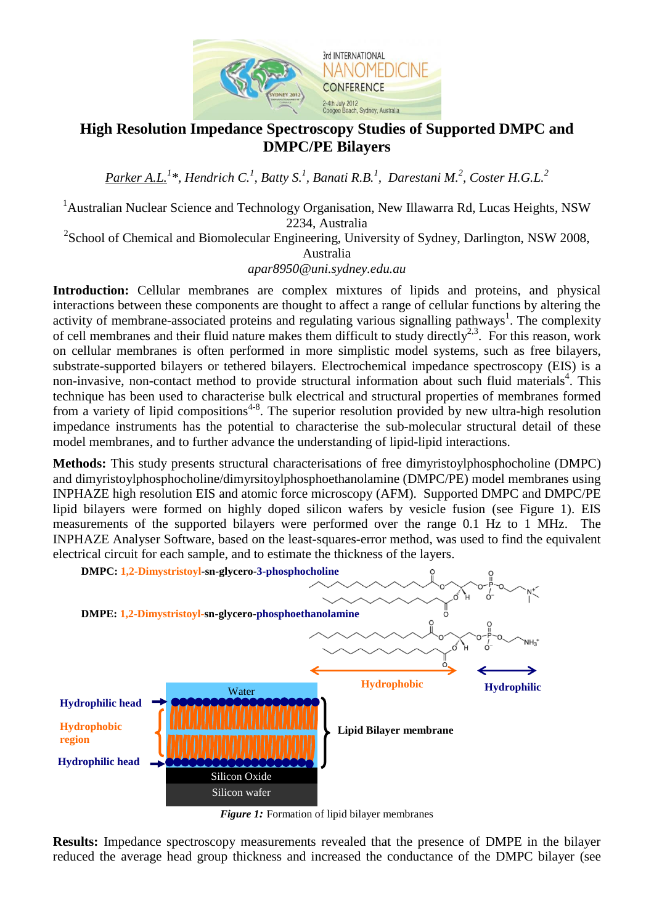

## **High Resolution Impedance Spectroscopy Studies of Supported DMPC and DMPC/PE Bilayers**

*Parker A.L.<sup>1</sup> \*, Hendrich C.<sup>1</sup> , Batty S.<sup>1</sup> , Banati R.B. 1 , Darestani M.<sup>2</sup> , Coster H.G.L. 2*

<sup>1</sup>Australian Nuclear Science and Technology Organisation, New Illawarra Rd, Lucas Heights, NSW 2234, Australia

 $2^2$ School of Chemical and Biomolecular Engineering, University of Sydney, Darlington, NSW 2008, Australia

*[apar8950@uni.sydney.edu.au](mailto:apar8950@uni.sydney.edu.au)*

**Introduction:** Cellular membranes are complex mixtures of lipids and proteins, and physical interactions between these components are thought to affect a range of cellular functions by altering the activity of membrane-associated proteins and regulating various signalling pathways<sup>1</sup>. The complexity of cell membranes and their fluid nature makes them difficult to study directly<sup>2,3</sup>. For this reason, work on cellular membranes is often performed in more simplistic model systems, such as free bilayers, substrate-supported bilayers or tethered bilayers. Electrochemical impedance spectroscopy (EIS) is a non-invasive, non-contact method to provide structural information about such fluid materials<sup>4</sup>. This technique has been used to characterise bulk electrical and structural properties of membranes formed from a variety of lipid compositions<sup>4-8</sup>. The superior resolution provided by new ultra-high resolution impedance instruments has the potential to characterise the sub-molecular structural detail of these model membranes, and to further advance the understanding of lipid-lipid interactions.

**Methods:** This study presents structural characterisations of free dimyristoylphosphocholine (DMPC) and dimyristoylphosphocholine/dimyrsitoylphosphoethanolamine (DMPC/PE) model membranes using INPHAZE high resolution EIS and atomic force microscopy (AFM). Supported DMPC and DMPC/PE lipid bilayers were formed on highly doped silicon wafers by vesicle fusion (see Figure 1). EIS measurements of the supported bilayers were performed over the range 0.1 Hz to 1 MHz. The INPHAZE Analyser Software, based on the least-squares-error method, was used to find the equivalent electrical circuit for each sample, and to estimate the thickness of the layers.



*Figure 1:* Formation of lipid bilayer membranes

**Results:** Impedance spectroscopy measurements revealed that the presence of DMPE in the bilayer reduced the average head group thickness and increased the conductance of the DMPC bilayer (see